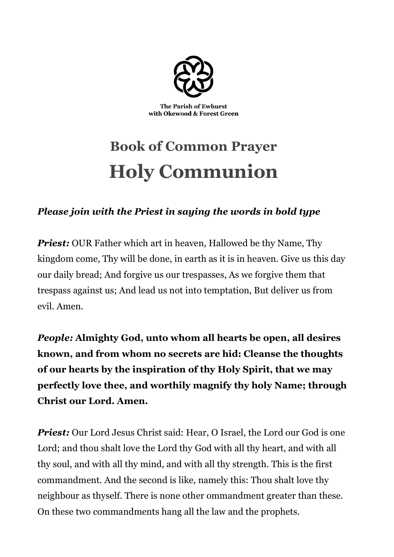

# **Book of Common Prayer Holy Communion**

## *Please join with the Priest in saying the words in bold type*

*Priest:* OUR Father which art in heaven, Hallowed be thy Name, Thy kingdom come, Thy will be done, in earth as it is in heaven. Give us this day our daily bread; And forgive us our trespasses, As we forgive them that trespass against us; And lead us not into temptation, But deliver us from evil. Amen.

*People:* **Almighty God, unto whom all hearts be open, all desires known, and from whom no secrets are hid: Cleanse the thoughts of our hearts by the inspiration of thy Holy Spirit, that we may perfectly love thee, and worthily magnify thy holy Name; through Christ our Lord. Amen.**

*Priest:* Our Lord Jesus Christ said: Hear, O Israel, the Lord our God is one Lord; and thou shalt love the Lord thy God with all thy heart, and with all thy soul, and with all thy mind, and with all thy strength. This is the first commandment. And the second is like, namely this: Thou shalt love thy neighbour as thyself. There is none other ommandment greater than these. On these two commandments hang all the law and the prophets.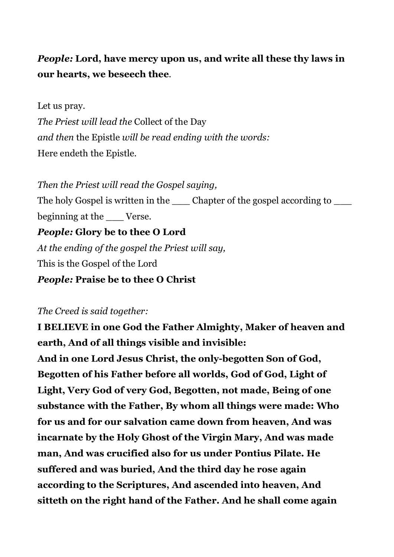# *People:* **Lord, have mercy upon us, and write all these thy laws in our hearts, we beseech thee**.

#### Let us pray.

*The Priest will lead the* Collect of the Day *and then* the Epistle *will be read ending with the words:* Here endeth the Epistle.

*Then the Priest will read the Gospel saying,* The holy Gospel is written in the schapter of the gospel according to beginning at the Verse. *People:* **Glory be to thee O Lord** *At the ending of the gospel the Priest will say,* This is the Gospel of the Lord *People:* **Praise be to thee O Christ**

#### *The Creed is said together:*

**I BELIEVE in one God the Father Almighty, Maker of heaven and earth, And of all things visible and invisible:**

**And in one Lord Jesus Christ, the only-begotten Son of God, Begotten of his Father before all worlds, God of God, Light of Light, Very God of very God, Begotten, not made, Being of one substance with the Father, By whom all things were made: Who for us and for our salvation came down from heaven, And was incarnate by the Holy Ghost of the Virgin Mary, And was made man, And was crucified also for us under Pontius Pilate. He suffered and was buried, And the third day he rose again according to the Scriptures, And ascended into heaven, And sitteth on the right hand of the Father. And he shall come again**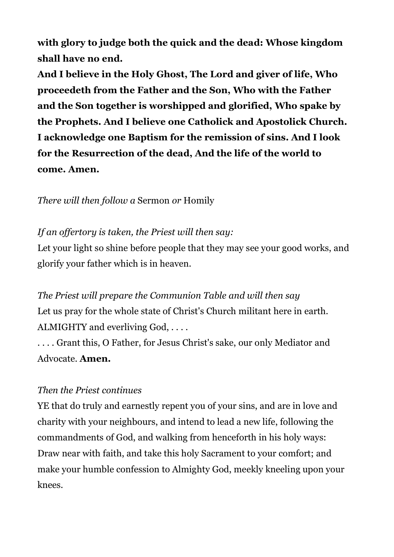**with glory to judge both the quick and the dead: Whose kingdom shall have no end.**

**And I believe in the Holy Ghost, The Lord and giver of life, Who proceedeth from the Father and the Son, Who with the Father and the Son together is worshipped and glorified, Who spake by the Prophets. And I believe one Catholick and Apostolick Church. I acknowledge one Baptism for the remission of sins. And I look for the Resurrection of the dead, And the life of the world to come. Amen.**

*There will then follow a* Sermon *or* Homily

## *If an offertory is taken, the Priest will then say:*

Let your light so shine before people that they may see your good works, and glorify your father which is in heaven.

*The Priest will prepare the Communion Table and will then say* Let us pray for the whole state of Christ's Church militant here in earth. ALMIGHTY and everliving God, ....

. . . . Grant this, O Father, for Jesus Christ's sake, our only Mediator and Advocate. **Amen.**

#### *Then the Priest continues*

YE that do truly and earnestly repent you of your sins, and are in love and charity with your neighbours, and intend to lead a new life, following the commandments of God, and walking from henceforth in his holy ways: Draw near with faith, and take this holy Sacrament to your comfort; and make your humble confession to Almighty God, meekly kneeling upon your knees.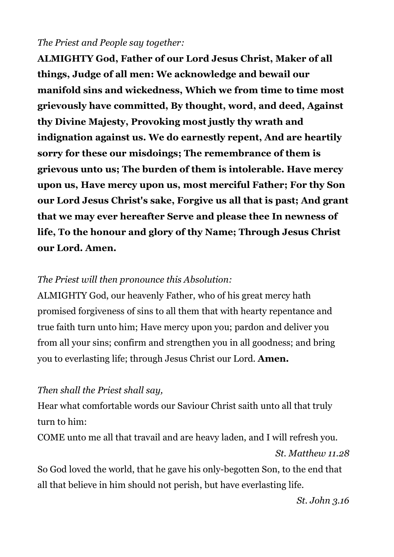#### *The Priest and People say together:*

**ALMIGHTY God, Father of our Lord Jesus Christ, Maker of all things, Judge of all men: We acknowledge and bewail our manifold sins and wickedness, Which we from time to time most grievously have committed, By thought, word, and deed, Against thy Divine Majesty, Provoking most justly thy wrath and indignation against us. We do earnestly repent, And are heartily sorry for these our misdoings; The remembrance of them is grievous unto us; The burden of them is intolerable. Have mercy upon us, Have mercy upon us, most merciful Father; For thy Son our Lord Jesus Christ's sake, Forgive us all that is past; And grant that we may ever hereafter Serve and please thee In newness of life, To the honour and glory of thy Name; Through Jesus Christ our Lord. Amen.**

#### *The Priest will then pronounce this Absolution:*

ALMIGHTY God, our heavenly Father, who of his great mercy hath promised forgiveness of sins to all them that with hearty repentance and true faith turn unto him; Have mercy upon you; pardon and deliver you from all your sins; confirm and strengthen you in all goodness; and bring you to everlasting life; through Jesus Christ our Lord. **Amen.**

#### *Then shall the Priest shall say,*

Hear what comfortable words our Saviour Christ saith unto all that truly turn to him:

COME unto me all that travail and are heavy laden, and I will refresh you. *St. Matthew 11.28*

So God loved the world, that he gave his only-begotten Son, to the end that all that believe in him should not perish, but have everlasting life.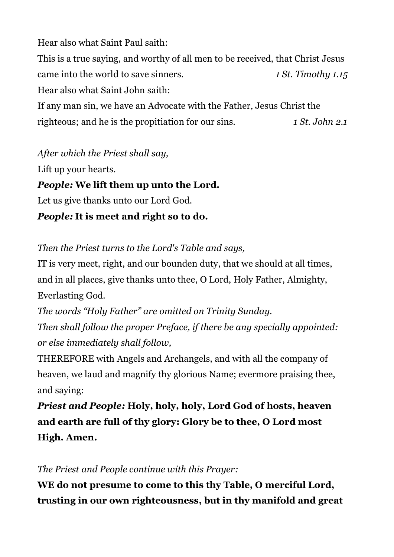Hear also what Saint Paul saith:

This is a true saying, and worthy of all men to be received, that Christ Jesus came into the world to save sinners. *1 St. Timothy 1.15* Hear also what Saint John saith:

If any man sin, we have an Advocate with the Father, Jesus Christ the righteous; and he is the propitiation for our sins. *1 St. John 2.1*

*After which the Priest shall say,*

Lift up your hearts.

*People:* **We lift them up unto the Lord.**

Let us give thanks unto our Lord God.

*People:* **It is meet and right so to do.**

*Then the Priest turns to the Lord's Table and says,*

IT is very meet, right, and our bounden duty, that we should at all times, and in all places, give thanks unto thee, O Lord, Holy Father, Almighty, Everlasting God.

*The words "Holy Father" are omitted on Trinity Sunday. Then shall follow the proper Preface, if there be any specially appointed: or else immediately shall follow,*

THEREFORE with Angels and Archangels, and with all the company of heaven, we laud and magnify thy glorious Name; evermore praising thee, and saying:

*Priest and People:* **Holy, holy, holy, Lord God of hosts, heaven and earth are full of thy glory: Glory be to thee, O Lord most High. Amen.**

*The Priest and People continue with this Prayer:*

**WE do not presume to come to this thy Table, O merciful Lord, trusting in our own righteousness, but in thy manifold and great**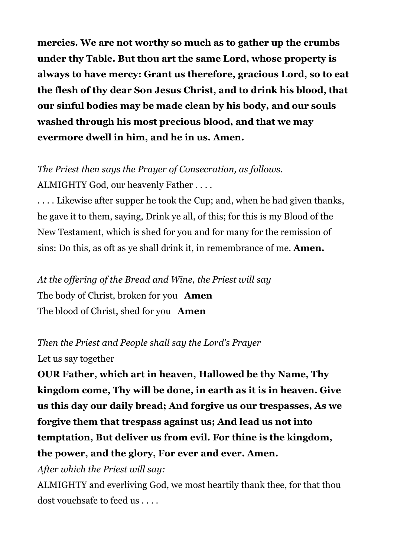**mercies. We are not worthy so much as to gather up the crumbs under thy Table. But thou art the same Lord, whose property is always to have mercy: Grant us therefore, gracious Lord, so to eat the flesh of thy dear Son Jesus Christ, and to drink his blood, that our sinful bodies may be made clean by his body, and our souls washed through his most precious blood, and that we may evermore dwell in him, and he in us. Amen.**

*The Priest then says the Prayer of Consecration, as follows.* ALMIGHTY God, our heavenly Father . . . .

. . . . Likewise after supper he took the Cup; and, when he had given thanks, he gave it to them, saying, Drink ye all, of this; for this is my Blood of the New Testament, which is shed for you and for many for the remission of sins: Do this, as oft as ye shall drink it, in remembrance of me. **Amen.**

*At the offering of the Bread and Wine, the Priest will say* The body of Christ, broken for you **Amen** The blood of Christ, shed for you **Amen**

*Then the Priest and People shall say the Lord's Prayer* Let us say together

**OUR Father, which art in heaven, Hallowed be thy Name, Thy kingdom come, Thy will be done, in earth as it is in heaven. Give us this day our daily bread; And forgive us our trespasses, As we forgive them that trespass against us; And lead us not into temptation, But deliver us from evil. For thine is the kingdom, the power, and the glory, For ever and ever. Amen.**

*After which the Priest will say:*

ALMIGHTY and everliving God, we most heartily thank thee, for that thou dost vouchsafe to feed us . . . .